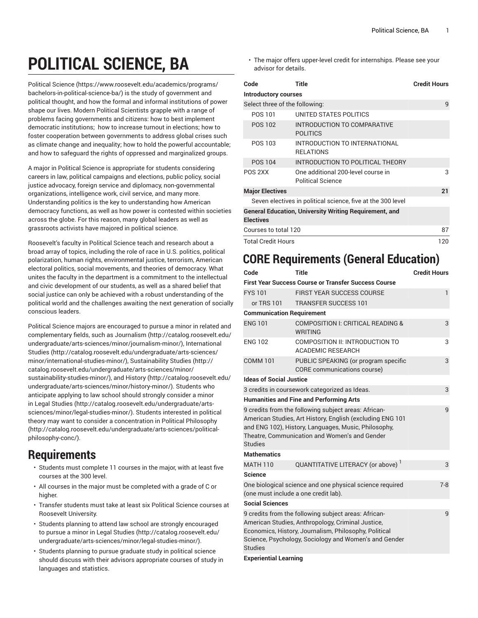## **POLITICAL SCIENCE, BA**

[Political](https://www.roosevelt.edu/academics/programs/bachelors-in-political-science-ba/) Science [\(https://www.roosevelt.edu/academics/programs/](https://www.roosevelt.edu/academics/programs/bachelors-in-political-science-ba/) [bachelors-in-political-science-ba/](https://www.roosevelt.edu/academics/programs/bachelors-in-political-science-ba/)) is the study of government and political thought, and how the formal and informal institutions of power shape our lives. Modern Political Scientists grapple with a range of problems facing governments and citizens: how to best implement democratic institutions; how to increase turnout in elections; how to foster cooperation between governments to address global crises such as climate change and inequality; how to hold the powerful accountable; and how to safeguard the rights of oppressed and marginalized groups.

A major in Political Science is appropriate for students considering careers in law, political campaigns and elections, public policy, social justice advocacy, foreign service and diplomacy, non-governmental organizations, intelligence work, civil service, and many more. Understanding politics is the key to understanding how American democracy functions, as well as how power is contested within societies across the globe. For this reason, many global leaders as well as grassroots activists have majored in political science.

Roosevelt's faculty in Political Science teach and research about a broad array of topics, including the role of race in U.S. politics, political polarization, human rights, environmental justice, terrorism, American electoral politics, social movements, and theories of democracy. What unites the faculty in the department is a commitment to the intellectual and civic development of our students, as well as a shared belief that social justice can only be achieved with a robust understanding of the political world and the challenges awaiting the next generation of socially conscious leaders.

Political Science majors are encouraged to pursue a minor in related and complementary fields, such as [Journalism \(http://catalog.roosevelt.edu/](http://catalog.roosevelt.edu/undergraduate/arts-sciences/minor/journalism-minor/) [undergraduate/arts-sciences/minor/journalism-minor/\)](http://catalog.roosevelt.edu/undergraduate/arts-sciences/minor/journalism-minor/), [International](http://catalog.roosevelt.edu/undergraduate/arts-sciences/minor/international-studies-minor/) [Studies](http://catalog.roosevelt.edu/undergraduate/arts-sciences/minor/international-studies-minor/) ([http://catalog.roosevelt.edu/undergraduate/arts-sciences/](http://catalog.roosevelt.edu/undergraduate/arts-sciences/minor/international-studies-minor/) [minor/international-studies-minor/\)](http://catalog.roosevelt.edu/undergraduate/arts-sciences/minor/international-studies-minor/), [Sustainability Studies](http://catalog.roosevelt.edu/undergraduate/arts-sciences/minor/sustainability-studies-minor/) ([http://](http://catalog.roosevelt.edu/undergraduate/arts-sciences/minor/sustainability-studies-minor/) [catalog.roosevelt.edu/undergraduate/arts-sciences/minor/](http://catalog.roosevelt.edu/undergraduate/arts-sciences/minor/sustainability-studies-minor/) [sustainability-studies-minor/](http://catalog.roosevelt.edu/undergraduate/arts-sciences/minor/sustainability-studies-minor/)), and [History](http://catalog.roosevelt.edu/undergraduate/arts-sciences/minor/history-minor/) ([http://catalog.roosevelt.edu/](http://catalog.roosevelt.edu/undergraduate/arts-sciences/minor/history-minor/) [undergraduate/arts-sciences/minor/history-minor/\)](http://catalog.roosevelt.edu/undergraduate/arts-sciences/minor/history-minor/). Students who anticipate applying to law school should strongly consider a minor in [Legal Studies](http://catalog.roosevelt.edu/undergraduate/arts-sciences/minor/legal-studies-minor/) ([http://catalog.roosevelt.edu/undergraduate/arts](http://catalog.roosevelt.edu/undergraduate/arts-sciences/minor/legal-studies-minor/)[sciences/minor/legal-studies-minor/](http://catalog.roosevelt.edu/undergraduate/arts-sciences/minor/legal-studies-minor/)). Students interested in political theory may want to consider a concentration in Political [Philosophy](http://catalog.roosevelt.edu/undergraduate/arts-sciences/political-philosophy-conc/) ([http://catalog.roosevelt.edu/undergraduate/arts-sciences/political](http://catalog.roosevelt.edu/undergraduate/arts-sciences/political-philosophy-conc/)[philosophy-conc/\)](http://catalog.roosevelt.edu/undergraduate/arts-sciences/political-philosophy-conc/).

## **Requirements**

- Students must complete 11 courses in the major, with at least five courses at the 300 level.
- All courses in the major must be completed with a grade of C or higher.
- Transfer students must take at least six Political Science courses at Roosevelt University.
- Students planning to attend law school are strongly encouraged to pursue a [minor in Legal Studies](http://catalog.roosevelt.edu/undergraduate/arts-sciences/minor/legal-studies-minor/) [\(http://catalog.roosevelt.edu/](http://catalog.roosevelt.edu/undergraduate/arts-sciences/minor/legal-studies-minor/) [undergraduate/arts-sciences/minor/legal-studies-minor/\)](http://catalog.roosevelt.edu/undergraduate/arts-sciences/minor/legal-studies-minor/).
- Students planning to pursue graduate study in political science should discuss with their advisors appropriate courses of study in languages and statistics.

• The major offers upper-level credit for internships. Please see your advisor for details.

| Code                                                        | Title                                                          | <b>Credit Hours</b> |  |  |
|-------------------------------------------------------------|----------------------------------------------------------------|---------------------|--|--|
| <b>Introductory courses</b>                                 |                                                                |                     |  |  |
| Select three of the following:                              | 9                                                              |                     |  |  |
| POS 101                                                     | UNITED STATES POLITICS                                         |                     |  |  |
| POS 102                                                     | INTRODUCTION TO COMPARATIVE<br><b>POLITICS</b>                 |                     |  |  |
| POS 103                                                     | INTRODUCTION TO INTERNATIONAL<br><b>RELATIONS</b>              |                     |  |  |
| POS 104                                                     | INTRODUCTION TO POLITICAL THEORY                               |                     |  |  |
| POS 2XX                                                     | One additional 200-level course in<br><b>Political Science</b> | 3                   |  |  |
| <b>Major Electives</b>                                      |                                                                | 21                  |  |  |
| Seven electives in political science, five at the 300 level |                                                                |                     |  |  |
| <b>Electives</b>                                            | <b>General Education, University Writing Requirement, and</b>  |                     |  |  |
| Courses to total 120                                        | 87                                                             |                     |  |  |
| <b>Total Credit Hours</b>                                   | 120                                                            |                     |  |  |

## **CORE Requirements (General Education)**

| Code                                                                                                                                                                                                                                          | <b>Title</b>                                                                                     | <b>Credit Hours</b> |  |  |  |
|-----------------------------------------------------------------------------------------------------------------------------------------------------------------------------------------------------------------------------------------------|--------------------------------------------------------------------------------------------------|---------------------|--|--|--|
|                                                                                                                                                                                                                                               | <b>First Year Success Course or Transfer Success Course</b>                                      |                     |  |  |  |
| <b>FYS101</b>                                                                                                                                                                                                                                 | <b>FIRST YEAR SUCCESS COURSE</b>                                                                 | 1                   |  |  |  |
| or TRS 101                                                                                                                                                                                                                                    | <b>TRANSFER SUCCESS 101</b>                                                                      |                     |  |  |  |
| <b>Communication Requirement</b>                                                                                                                                                                                                              |                                                                                                  |                     |  |  |  |
| <b>ENG 101</b>                                                                                                                                                                                                                                | COMPOSITION I: CRITICAL READING &<br><b>WRITING</b>                                              | 3                   |  |  |  |
| <b>ENG 102</b>                                                                                                                                                                                                                                | COMPOSITION II: INTRODUCTION TO<br><b>ACADEMIC RESEARCH</b>                                      | 3                   |  |  |  |
| <b>COMM 101</b>                                                                                                                                                                                                                               | PUBLIC SPEAKING (or program specific<br>CORE communications course)                              | 3                   |  |  |  |
| <b>Ideas of Social Justice</b>                                                                                                                                                                                                                |                                                                                                  |                     |  |  |  |
| 3 credits in coursework categorized as Ideas.                                                                                                                                                                                                 | 3                                                                                                |                     |  |  |  |
|                                                                                                                                                                                                                                               | <b>Humanities and Fine and Performing Arts</b>                                                   |                     |  |  |  |
| 9 credits from the following subject areas: African-<br>American Studies, Art History, English (excluding ENG 101<br>and ENG 102), History, Languages, Music, Philosophy,<br>Theatre, Communication and Women's and Gender<br><b>Studies</b>  |                                                                                                  |                     |  |  |  |
| <b>Mathematics</b>                                                                                                                                                                                                                            |                                                                                                  |                     |  |  |  |
| <b>MATH 110</b>                                                                                                                                                                                                                               | QUANTITATIVE LITERACY (or above) <sup>1</sup>                                                    | 3                   |  |  |  |
| <b>Science</b>                                                                                                                                                                                                                                |                                                                                                  |                     |  |  |  |
|                                                                                                                                                                                                                                               | One biological science and one physical science required<br>(one must include a one credit lab). | $7 - 8$             |  |  |  |
| <b>Social Sciences</b>                                                                                                                                                                                                                        |                                                                                                  |                     |  |  |  |
| 9 credits from the following subject areas: African-<br>American Studies, Anthropology, Criminal Justice,<br>Economics, History, Journalism, Philosophy, Political<br>Science, Psychology, Sociology and Women's and Gender<br><b>Studies</b> |                                                                                                  |                     |  |  |  |

**Experiential Learning**